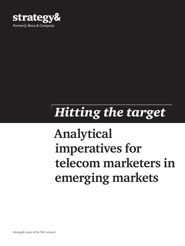

# *Hitting the target*

# **Analytical imperatives for telecom marketers in emerging markets**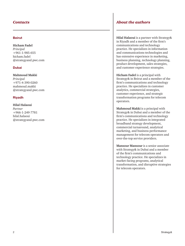#### Beirut

**Hicham Fadel** *Principal* +961-1-985-655 hicham.fadel @strategyand.pwc.com

#### Dubai

**Mahmoud Makki** *Principal*  +971-4-390-0260 mahmoud.makki @strategyand.pwc.com

#### Riyadh

#### **Hilal Halaoui**

*Partner*  +966-1-249-7781 hilal.halaoui @strategyand.pwc.com

#### *Contacts About the authors*

**Hilal Halaoui** is a partner with Strategy& in Riyadh and a member of the firm's communications and technology practice. He specializes in information and communications technologies and has extensive experience in marketing, business planning, technology planning, product development, sales strategies, and customer experience strategies.

**Hicham Fadel** is a principal with Strategy& in Beirut and a member of the firm's communications and technology practice. He specializes in customer analytics, commercial strategies, customer experience, and strategic transformation programs for telecom operators.

**Mahmoud Makki** is a principal with Strategy& in Dubai and a member of the firm's communications and technology practice. He specializes in integrated broadband strategy development, commercial turnaround, analytical marketing, and business performance management for telecom operators and over-the-top service providers.

**Mansour Mansour** is a senior associate with Strategy& in Dubai and a member of the firm's communications and technology practice. He specializes in market-facing programs, analytical transformation, and disruptive strategies for telecom operators.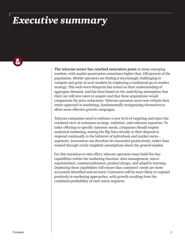### *Executive summary*

 $\boldsymbol{\alpha}$ 

**The telecom sector has reached saturation point** in many emerging markets, with market penetration sometimes higher than 100 percent of the population. Mobile operators are finding it increasingly challenging to compete and grow in such markets by employing a traditional go-to-market strategy. This well-worn blueprint has rested on their understanding of aggregate demand, and has been based on the underlying assumption that there are still new users to acquire and that these acquisitions would compensate for price reductions. Telecom operators must now rethink their entire approach to marketing, fundamentally reorganizing themselves to allow more effective growth campaigns.

Telecom companies need to embrace a new level of targeting and reject the outdated view of customers as large, indistinct, and coherent segments. To tailor offerings to specific customer needs, companies should employ analytical marketing, mining the Big Data already at their disposal to respond continually to the behavior of individuals and market microsegments. Investment can therefore be channeled productively, rather than wasted through overly simplistic assumptions about the general market.

For this transition to take effect, telecom operators must build five key capabilities within the marketing function: data management, microsegmentation, commercialization, product design, and adaptive learning. Deploying these capabilities will ensure that customers' needs are more accurately identified and serviced. Customers will be more likely to respond positively to marketing approaches, with growth resulting from the combined profitability of each micro-segment.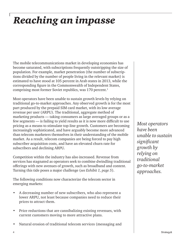## *Reaching an impasse*

The mobile telecommunications market in developing economies has become saturated, with subscriptions frequently outstripping the size of population. For example, market penetration (the number of subscriptions divided by the number of people living in the relevant market) is estimated to have stood at 105 percent in Arab states in 2013, while the corresponding figure in the Commonwealth of Independent States, comprising most former Soviet republics, was 170 percent.<sup>1</sup>

Most operators have been unable to sustain growth levels by relying on traditional go-to-market approaches. Any observed growth is for the most part produced by the prepaid SIM card market, with its low average revenue per user (ARPU). The traditional, aggregate method of marketing products — taking consumers as large averaged groups or as a few segments — is failing to yield results as it is now more difficult to use pricing as a means to stimulate top-line growth. Customers are becoming increasingly sophisticated, and have arguably become more advanced than telecom marketers themselves in their understanding of the mobile market. As a result, telecom companies are being forced to pay high subscriber acquisition costs, and have an elevated churn rate for subscribers and declining ARPU.

Competition within the industry has also increased. Revenue from services has stagnated as operators seek to combine dwindling traditional offerings with new avenues of growth, such as broadband and content. Turning this tide poses a major challenge (*see Exhibit 1, page 5*).

The following conditions now characterize the telecom sector in emerging markets:

- A decreasing number of new subscribers, who also represent a lower ARPU, not least because companies need to reduce their prices to attract them.
- Price reductions that are cannibalizing existing revenues, with current customers moving to more attractive plans.
- Natural erosion of traditional telecom services (messaging and

*Most operators have been unable to sustain significant growth by relying on traditional go-to-market approaches.*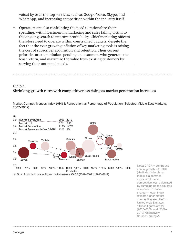voice) by over-the-top services, such as Google Voice, Skype, and WhatsApp, and increasing competition within the industry itself.

• Operators are also confronting the need to rationalize their spending, with investment in marketing and sales falling victim to the ongoing search to improve profitability. Chief marketing officers therefore need to operate within constrained budgets, despite the fact that the ever-growing inflation of key marketing tools is raising the cost of subscriber acquisition and retention. Their current priorities are to minimize spending on customers who generate the least return, and maximize the value from existing customers by serving their untapped needs.

#### *Exhibit 1* **Shrinking growth rates with competitiveness rising as market penetration increases**

Market Competitiveness Index (HHI) & Penetration as Percentage of Population (Selected Middle East Markets, 2007–2012)



60% 70% 80% 90% 100% 110% 120% 130% 140% 150% 160% 170% 180% 190% Penetration

oO Size of bubble indicates 2-year market revenue CAGR (2007–2009 to 2010–2012)

Note: CAGR = compound annual growth rate, HHI (Herfindahl-Hirschman Index) is a common measure of market competitiveness, calculated by summing up the squares of operators' market shares — lower index reflects higher market competitiveness. UAE = United Arab Emirates. <sup>1</sup> These figures are for (2007–2009) and (2009– 2012) respectively. Source: Strategy&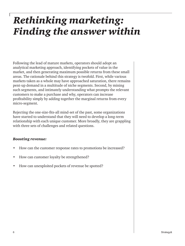### *Rethinking marketing: Finding the answer within*

Following the lead of mature markets, operators should adopt an analytical marketing approach, identifying pockets of value in the market, and then generating maximum possible returns from these small areas. The rationale behind this strategy is twofold. First, while various markets taken as a whole may have approached saturation, there remains pent-up demand in a multitude of niche segments. Second, by mining such segments, and intimately understanding what prompts the relevant customers to make a purchase and why, operators can increase profitability simply by adding together the marginal returns from every micro-segment.

Rejecting the one-size-fits-all mind-set of the past, some organizations have started to understand that they will need to develop a long-term relationship with each unique customer. More broadly, they are grappling with three sets of challenges and related questions.

#### *Boosting revenue:*

- How can the customer response rates to promotions be increased?
- How can customer loyalty be strengthened?
- How can unexploited pockets of revenue be spotted?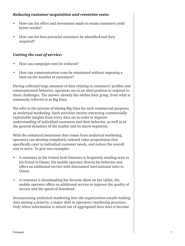#### *Reducing customer acquisition and retention costs:*

- How can the effort and investment made to retain customers yield better results?
- How can the best potential customers be identified and then acquired?

#### *Cutting the cost of service:*

- How can campaign costs be reduced?
- How can communication costs be minimized without imposing a limit on the number of customers?

Having collected large amounts of data relating to customers' profiles and communication behavior, operators are in an ideal position to respond to these challenges. The answer already lies within their grasp, from what is commonly referred to as Big Data.

We refer to the process of mining Big Data for such commercial purposes as analytical marketing. Such activities involve extracting commercially exploitable insights from every data set in order to improve understanding of individual customers and their behavior, as well as of the general dynamics of the market and its micro-segments.

With the enhanced awareness that comes from analytical marketing, operators can develop completely tailored value propositions that specifically cater to individual customer needs, and reduce the overall cost to serve. To give two examples:

- A customer in the United Arab Emirates is frequently sending texts to his friend in Oman; the mobile operator detects his behavior and offers an additional service with discounted international rates to Oman.
- A customer is downloading her favorite show on her tablet; the mobile operator offers an additional service to improve the quality of service and the speed of download.

Incorporating analytical marketing into the organization entails making data mining a priority, a major shift in operators' marketing practices. Only when information is mined out of aggregated data does it become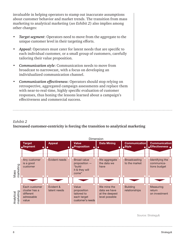invaluable in helping operators to stamp out inaccurate assumptions about customer behavior and market trends. The transition from mass marketing to analytical marketing (*see Exhibit 2*) also implies among other changes:

- *Target segment*: Operators need to move from the aggregate to the unique customer level in their targeting efforts.
- *Appeal*: Operators must cater for latent needs that are specific to each individual customer, or a small group of customers, carefully tailoring their value proposition.
- *Communication style*: Communication needs to move from broadcast to narrowcast, with a focus on developing an individualized communication channel.
- *Communication effectiveness*: Operators should stop relying on retrospective, aggregated campaign assessments and replace them with near-to-real-time, highly specific evaluation of customer responses, thus honing the lessons learned about a campaign's effectiveness and commercial success.

#### *Exhibit 2*

#### **Increased customer-centricity is forcing the transition to analytical marketing**



Source: Strategy&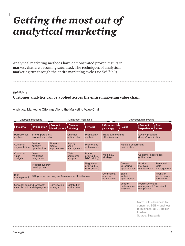### *Getting the most out of analytical marketing*

Analytical marketing methods have demonstrated proven results in markets that are becoming saturated. The techniques of analytical marketing run through the entire marketing cycle (*see Exhibit 3*).

#### *Exhibit 3* **Customer analytics can be applied across the entire marketing value chain**

Analytical Marketing Offerings Along the Marketing Value Chain

| Upstream marketing                                                  |                                                     |                                          | Midstream marketing                  |                                                       | Downstream marketing                  |                                           |                                                        |                                       |
|---------------------------------------------------------------------|-----------------------------------------------------|------------------------------------------|--------------------------------------|-------------------------------------------------------|---------------------------------------|-------------------------------------------|--------------------------------------------------------|---------------------------------------|
| <b>Insights</b>                                                     | <b>Proposition</b>                                  | <b>Product</b><br>development            | <b>Channel</b><br>strategy           | <b>Pricing</b>                                        | Commercial<br>strategy                | <b>Sales</b>                              | <b>Product</b><br>experience                           | <b>Post</b><br>sales                  |
| Portfolio risk<br>analysis                                          | Brand, portfolio &<br>product innovation            |                                          | Channel<br>optimization              | Profitability<br>analysis                             | Trade & marketing<br>effectiveness    |                                           | Loyalty program<br>design/optimization                 |                                       |
| Customer<br>segmentation                                            | <b>Device</b><br>subsidy<br>optimization            | Time-to-<br>market<br><i>improvement</i> | <b>Supply</b><br>chain<br>management | <b>Promotions</b><br>optimization                     |                                       | Range & assortment<br>optimization        |                                                        |                                       |
| Customer<br>value<br>analysis                                       | Geo-<br>marketing<br>integration                    |                                          | Web<br>commerce<br>analysis          | Posted<br>pricing (I.E.,<br>B <sub>2</sub> C pricing) | Media 2.0<br>strategy                 |                                           | <b>Customer experience</b><br>optimization             |                                       |
|                                                                     | <b>Product synergy</b><br>development               |                                          |                                      | Negotiated<br>pricing (I.E.,<br>B2B pricing)          |                                       | Cross-/<br>up-selling<br>opportunities    | Product<br>life-cycle<br>management                    | Revenue/<br>yield<br>management       |
| <b>Risk</b><br>management                                           | BTL promotions program & revenue uplift initiatives |                                          |                                      |                                                       | Commercial<br>channel<br>optimization | <b>Sales</b><br>footprint<br>optimization |                                                        | Granular<br>performance<br>monitoring |
| Granular demand forecast/<br>smart broadband deployment<br>strategy |                                                     | Gamification                             | <b>Distribution</b><br>optimization  |                                                       |                                       | Vendor<br>performance<br>analysis         | Predictive churn<br>management & win-back<br>campaigns |                                       |

Note: B2C = business to consumer, B2B = business to business, BTL = belowthe-line. Source: Strategy&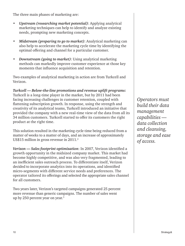The three main phases of marketing are:

- *Upstream (researching market potential)*: Applying analytical marketing techniques can help to identify and analyze existing needs, prompting new marketing concepts.
- *Midstream (preparing to go to market)*: Analytical marketing can also help to accelerate the marketing cycle time by identifying the optimal offering and channel for a particular customer.
- *Downstream (going to market)*: Using analytical marketing methods can markedly improve customer experience at those key moments that influence acquisition and retention.

Two examples of analytical marketing in action are from Turkcell and Verizon.

*Turkcell — Below-the-line promotions and revenue uplift programs:*  Turkcell is a long-time player in the market, but by 2011 had been facing increasing challenges in customer retention, coupled with flattening subscription growth. In response, using the strength and creativity of its analytical teams, Turkcell introduced an initiative that provided the company with a new real-time view of the data from all its 34 million customers. Turkcell started to offer its customers the right product at the right time.

This solution resulted in the marketing cycle time being reduced from a matter of weeks to a matter of days, and an increase of approximately US\$15 million in gross revenue in 2011.<sup>2</sup>

*Verizon — Sales footprint optimization*: In 2007, Verizon identified a growth opportunity in the midsized company market. This market had become highly competitive, and was also very fragmented, leading to an inefficient sales outreach process. To differentiate itself, Verizon decided to incorporate analytics into its operations, and identified micro-segments with different service needs and preferences. The operator tailored its offerings and selected the appropriate sales channel for all customers.

Two years later, Verizon's targeted campaigns generated 25 percent more revenue than generic campaigns. The number of sales went up by 250 percent year on year.3

*Operators must build their data management capabilities data collection and cleansing, storage and ease of access.*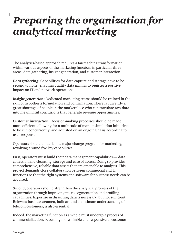### *Preparing the organization for analytical marketing*

The analytics-based approach requires a far-reaching transformation within various aspects of the marketing function, in particular three areas: data gathering, insight generation, and customer interaction.

*Data gathering*: Capabilities for data capture and storage have to be second to none, enabling quality data mining to register a positive impact on IT and network operations.

*Insight generation*: Dedicated marketing teams should be trained in the skill of hypothesis formulation and confirmation. There is currently a great shortage of people in the marketplace who can translate raw data into meaningful conclusions that generate revenue opportunities.

*Customer interaction*: Decision-making processes should be made more efficient, allowing for a multitude of market simulation initiatives to be run concurrently, and adjusted on an ongoing basis according to user response.

Operators should embark on a major change program for marketing, revolving around five key capabilities:

First, operators must build their data management capabilities — data collection and cleansing, storage and ease of access. Doing so provides comprehensive, reliable data assets that are amenable to analysis. This project demands close collaboration between commercial and IT functions so that the right systems and software for business needs can be acquired.

Second, operators should strengthen the analytical prowess of the organization through improving micro-segmentation and profiling capabilities. Expertise in dissecting data is necessary, but not sufficient. Relevant business acumen, built around an intimate understanding of telecom customers, is also essential.

Indeed, the marketing function as a whole must undergo a process of commercialization, becoming more nimble and responsive to customer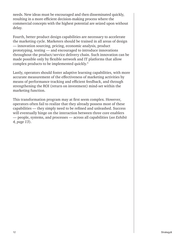needs. New ideas must be encouraged and then disseminated quickly, resulting in a more efficient decision-making process where the commercial concepts with the highest potential are seized upon without delay.

Fourth, better product design capabilities are necessary to accelerate the marketing cycle. Marketers should be trained in all areas of design — innovation sourcing, pricing, economic analysis, product prototyping, testing — and encouraged to introduce innovations throughout the product/service delivery chain. Such innovation can be made possible only by flexible network and IT platforms that allow complex products to be implemented quickly.4

Lastly, operators should foster adaptive learning capabilities, with more accurate measurement of the effectiveness of marketing activities by means of performance tracking and efficient feedback, and through strengthening the ROI (return on investment) mind-set within the marketing function.

This transformation program may at first seem complex. However, operators often fail to realize that they already possess most of these capabilities — they simply need to be refined and unleashed. Success will eventually hinge on the interaction between three core enablers — people, systems, and processes — across all capabilities (*see Exhibit 4, page 13*).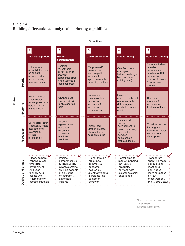### *Exhibit 4* **Building differentiated analytical marketing capabilities**

**2 3 5 1 4 Data Management Micro-Commercialization Product Design Adaptive Learning Segmentation**  Cultural mind-set **Qualified** IT team with "Empowered" based on Qualified product "hypothesisconsolidated view marketers performance driven" marketmanagers, on all data encouraged to monitoring (ROI ers, with trained on design sources & clear innovate & per initiative), best practices capabilities span-**People** understanding of synchronize with adaptive learning (pricing, etc.) ning business & business needs & know-how marketing strategy technical areas sharing Knowledge-Flexible & Reliable system Advanced yet adaptive technical sharing platform, Real-time infrastructure, user-friendly & promoting platforms, able to reporting & allowing real-time **Systems** reliable analysis innovation & deliver against performance data update & increasing tools product manager tracking systems management collaboration needs **Streamlined** Dynamic Coordinated, strict service Top-down support segmentation & frequently tested **Streamlined** development life framework, for program data gathering, cycle — ensuring ideation process, Processes **Processes** frequently institutionalization cleansing & allowing for faster coordination updated & & continuous storage decision making between monitored development mechanisms commercial & over time technical teams - Clean, compre-- Precise, - Higher through-- Faster time-to-**Transparent** hensive & realcomprehensive put of new market, bringing operating model states **Desired end states** time data & continuously commercial innovative conducive to environment ideation & dynamic customer concepts, products/ Desired end - Analyticsprofiling capable backed by services with continuous friendly data quantitative data of delivering superior customer learning (based measurable & & insights into assets with experience on ROI reliable/timely actionable customer measurement, insights trial & error, etc.)access channels behavior . . . . . . . . .

**Capabilities** 

Note: ROI = Return on Investment. Source: Strategy&

Strategy& 13

Enablers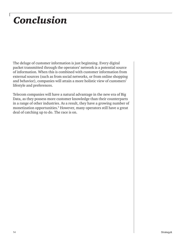### *Conclusion*

The deluge of customer information is just beginning. Every digital packet transmitted through the operators' network is a potential source of information. When this is combined with customer information from external sources (such as from social networks, or from online shopping and behavior), companies will attain a more holistic view of customers' lifestyle and preferences.

Telecom companies will have a natural advantage in the new era of Big Data, as they possess more customer knowledge than their counterparts in a range of other industries. As a result, they have a growing number of monetization opportunities.<sup>5</sup> However, many operators still have a great deal of catching up to do. The race is on.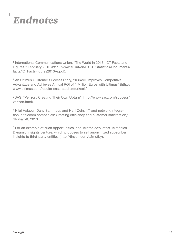### *Endnotes*

<sup>1</sup> International Communications Union, "The World in 2013: ICT Facts and Figures," February 2013 (http://www.itu.int/en/ITU-D/Statistics/Documents/ facts/ICTFactsFigures2013-e.pdf).

2 An Ultimus Customer Success Story, "Turkcell Improves Competitive Advantage and Achieves Annual ROI of 1 Million Euros with Ultimus" (http:// www.ultimus.com/results-case-studies/turkcell/).

3 SAS, "Verizon: Creating Their Own Upturn" (http://www.sas.com/success/ verizon.html).

4 Hilal Halaoui, Dany Sammour, and Hani Zein, "IT and network integration in telecom companies: Creating efficiency and customer satisfaction," Strategy&, 2013.

<sup>5</sup> For an example of such opportunities, see Telefónica's latest Telefónica Dynamic Insights venture, which proposes to sell anonymized subscriber insights to third-party entities (http://tinyurl.com/c2mufby).